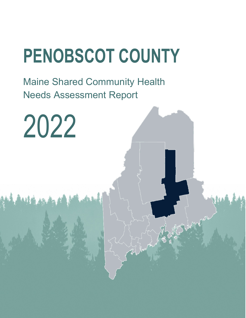# **PENOBSCOT COUNTY**

Maine Shared Community Health Needs Assessment Report

2022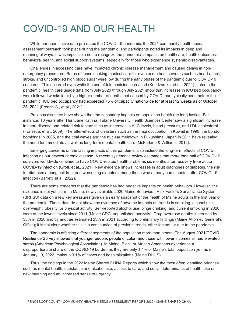### COVID-19 AND OUR HEALTH

While our quantitative data pre-dates the COVID-19 pandemic, the 2021 community health needs assessment outreach took place during the pandemic, and participants noted its impacts in deep and meaningful ways. It was impossible not to recognize the pandemic's impacts on healthcare, health outcomes, behavioral health, and social support systems, especially for those who experience systemic disadvantages.

Challenges in accessing care have impacted chronic disease management and caused delays in nonemergency procedures. Rates of those seeking medical care for even acute health events such as heart attack, stroke, and uncontrolled high blood sugar were low during the early phase of the pandemic due to COVID-19 concerns. This occurred even while the use of telemedicine increased (Kendzerska, et al., 2021). Later in the pandemic, health care usage data from July 2020 through July 2021 show that increases in ICU bed occupancy were followed weeks later by a higher number of deaths not caused by COVID than typically seen before the pandemic. ICU bed occupancy had exceeded 75% of capacity nationwide for at least 12 weeks as of October 25, 2021 (French G., et al., 2021).

Previous disasters have shown that the secondary impacts on population health are long-lasting. For instance, 10 years after Hurricane Katrina, Tulane University Health Sciences Center saw a significant increase in heart disease and related risk factors such as increases in A1C levels, blood pressure, and LDL cholesterol (Fonseca, et al., 2009). The after-effects of disasters such as the Iraqi occupation in Kuwait in 1990, the London bombings in 2005, and the tidal waves and the nuclear meltdown in Fukushima, Japan in 2011 have revealed the need for immediate as well as long-term mental health care (McFarlane & Williams, 2012).

Emerging concerns on the lasting impacts of this pandemic also include the long-term effects of COVID infection as our newest chronic disease. A recent systematic review estimates that more than half of COVID-19 survivors worldwide continue to have COVID-related health problems six months after recovery from acute COVID-19 infection (Groff, et al., 2021). New evidence shows increases in adult diagnoses of diabetes, the risk for diabetes among children, and worsening diabetes among those who already had diabetes after COVID-19 infection (Barrett, et al, 2022).

There are some concerns that the pandemic has had negative impacts on health behaviors. However, the evidence is not yet clear. In Maine, newly available 2020 Maine Behavioral Risk Factors Surveillance System (BRFSS) data on a few key measures give us an early snapshot of the health of Maine adults in the first year of the pandemic. These data do not show any evidence of adverse impacts on trends in smoking, alcohol use, overweight, obesity, or physical activity. Self-reported alcohol use, binge drinking, and current smoking in 2020 were at the lowest levels since 2011 (Maine CDC, unpublished analysis). Drug overdose deaths increased by 33% in 2020 and by another estimated 23% in 2021 according to preliminary findings (Maine Attorney General's Office); it is not clear whether this is a continuation of previous trends, other factors, or due to the pandemic.

The pandemic is affecting different segments of the population more than others. The August 2021/COVID Resilience Survey showed that younger people, people of color, and those with lower incomes all had elevated stress (American Psychological Association). In Maine, Black or African Americans experience a disproportionate share of the COVID-19 burden as they are only 1.4% of Maine's total population yet, as of January 19, 2022, makeup 3.1% of cases and hospitalizations (Maine DHHS).

Thus, the findings in the 2022 Maine Shared CHNA Reports which show the most often identified priorities such as mental health, substance and alcohol use, access to care, and social determinants of health take on new meaning and an increased sense of urgency.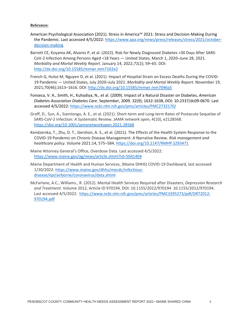#### **References:**

- American Psychological Association (2021). Stress in America™ 2021: Stress and Decision-Making During the Pandemic. Last accessed 4/5/2022[: https://www.apa.org/news/press/releases/stress/2021/october](https://www.apa.org/news/press/releases/stress/2021/october-decision-making)[decision-making](https://www.apa.org/news/press/releases/stress/2021/october-decision-making)
- Barrett CE, Koyama AK, Alvarez P, et al. (2022). Risk for Newly Diagnosed Diabetes >30 Days After SARS-CoV-2 Infection Among Persons Aged <18 Years — United States, March 1, 2020–June 28, 2021. *Morbidity and Mortal Weekly Report*. January 14, 2022;*71*(2); 59–65. DOI: <http://dx.doi.org/10.15585/mmwr.mm7102e2>
- French G, Hulse M, Nguyen D, et al. (2021). Impact of Hospital Strain on Excess Deaths During the COVID-19 Pandemic — United States, July 2020–July 2021. *Morbidity and Mortal Weekly Report*. November 19, 2021;70(46);1613–1616. DOI[: http://dx.doi.org/10.15585/mmwr.mm7046a5](http://dx.doi.org/10.15585/mmwr.mm7046a5)
- Fonseca, V. A., Smith, H., Kuhadiya, N., et al. (2009). Impact of a Natural Disaster on Diabetes, *American Diabetes Association Diabetes Care.* September, 2009. 32(9); 1632-1638, DOI: 10.2337/dc09-0670. Last accessed 4/5/2022[: https://www.ncbi.nlm.nih.gov/pmc/articles/PMC2732170/](https://www.ncbi.nlm.nih.gov/pmc/articles/PMC2732170/)
- Groff, D., Sun, A., Ssentongo, A. E., et al. (2021). Short-term and Long-term Rates of Postacute Sequelae of SARS-CoV-2 Infection: A Systematic Review. *JAMA network open*, 4(10), e2128568. <https://doi.org/10.1001/jamanetworkopen.2021.28568>
- Kendzerska, T., Zhu, D. T., Gershon, A. S., et al. (2021). The Effects of the Health System Response to the COVID-19 Pandemic on Chronic Disease Management: A Narrative Review. *Risk management and healthcare policy*. Volume 2021:14, 575–584.<https://doi.org/10.2147/RMHP.S293471>
- Maine Attorney General's Office, Overdose Data. Last accessed 4/5/2022: <https://www.maine.gov/ag/news/article.shtml?id=5041404>
- Maine Department of Health and Human Services, (Maine DHHS) COVID-19 Dashboard, last accessed 1/20/2022: [https://www.maine.gov/dhhs/mecdc/infectious](https://www.maine.gov/dhhs/mecdc/infectious-disease/epi/airborne/coronavirus/data.shtml)[disease/epi/airborne/coronavirus/data.shtml](https://www.maine.gov/dhhs/mecdc/infectious-disease/epi/airborne/coronavirus/data.shtml)
- McFarlane, A.C., Williams., R. (2012). Mental Health Services Required after Disasters, *Depression Research and Treatment.* Volume 2012, Article ID 970194, DOI: 10.1155/2012/970194 10.1155/2012/970194. Last accessed 4/5/2022: [https://www.ncbi.nlm.nih.gov/pmc/articles/PMC3395273/pdf/DRT2012-](https://www.ncbi.nlm.nih.gov/pmc/articles/PMC3395273/pdf/DRT2012-970194.pdf) [970194.pdf](https://www.ncbi.nlm.nih.gov/pmc/articles/PMC3395273/pdf/DRT2012-970194.pdf)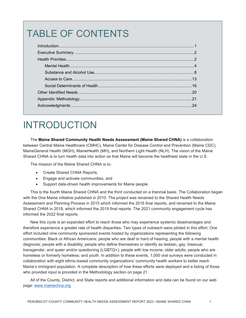# TABLE OF CONTENTS

# INTRODUCTION

The **Maine Shared Community Health Needs Assessment (Maine Shared CHNA)** is a collaboration between Central Maine Healthcare (CMHC), Maine Center for Disease Control and Prevention (Maine CDC), MaineGeneral Health (MGH), MaineHealth (MH), and Northern Light Health (NLH). The vision of the Maine Shared CHNA is to turn health data into action so that Maine will become the healthiest state in the U.S.

The mission of the Maine Shared CHNA is to:

- Create Shared CHNA Reports,
- Engage and activate communities, and
- Support data-driven health improvements for Maine people.

This is the fourth Maine Shared CHNA and the third conducted on a triennial basis. The Collaboration began with the One Maine initiative published in 2010. The project was renamed to the Shared Health Needs Assessment and Planning Process in 2015 which informed the 2016 final reports, and renamed to the Maine Shared CHNA in 2018, which informed the 2019 final reports. The 2021 community engagement cycle has informed the 2022 final reports.

New this cycle is an expanded effort to reach those who may experience systemic disadvantages and therefore experience a greater rate of health disparities. Two types of outreach were piloted in this effort. One effort included nine community sponsored events hosted by organizations representing the following communities: Black or African Americans; people who are deaf or hard of hearing; people with a mental health diagnosis; people with a disability; people who define themselves or identify as lesbian, gay, bisexual, transgender, and queer and/or questioning (LGBTQ+); people with low income; older adults; people who are homeless or formerly homeless; and youth. In addition to these events, 1,000 oral surveys were conducted in collaboration with eight ethnic-based community organizations' community health workers to better reach Maine's immigrant population. A complete description of how these efforts were deployed and a listing of those who provided input is provided in the Methodology section on page 21.

All of the County, District, and State reports and additional information and data can be found on our web page: [www.mainechna.org.](http://www.mainechna.org/)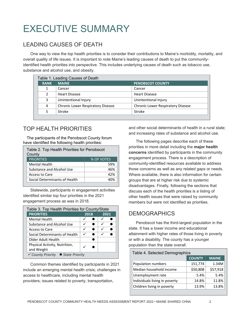# EXECUTIVE SUMMARY

### LEADING CAUSES OF DEATH

One way to view the top health priorities is to consider their contributions to Maine's morbidity, mortality, and overall quality of life issues. It is important to note Maine's leading causes of death to put the communityidentified health priorities into perspective. This includes underlying causes of death such as tobacco use, substance and alcohol use, and obesity.

| Table 1. Leading Causes of Death  |                                   |  |  |  |  |
|-----------------------------------|-----------------------------------|--|--|--|--|
| <b>MAINE</b>                      | <b>PENOBSCOT COUNTY</b>           |  |  |  |  |
| Cancer                            | Cancer                            |  |  |  |  |
| <b>Heart Disease</b>              | <b>Heart Disease</b>              |  |  |  |  |
| Unintentional Injury              | Unintentional Injury              |  |  |  |  |
| Chronic Lower Respiratory Disease | Chronic Lower Respiratory Disease |  |  |  |  |
| Stroke                            | Stroke                            |  |  |  |  |
|                                   |                                   |  |  |  |  |

### TOP HEALTH PRIORITIES

The participants of the Penobscot County forum have identified the following health priorities:

| Table 2. Top Health Priorities for Penobscot<br>County |                   |  |  |  |  |
|--------------------------------------------------------|-------------------|--|--|--|--|
| <b>PRIORITIES</b>                                      | <b>% OF VOTES</b> |  |  |  |  |
| <b>Mental Health</b>                                   | 59%               |  |  |  |  |
| Substance and Alcohol Use                              | 46%               |  |  |  |  |
| Access to Care                                         | 42%               |  |  |  |  |
| Social Determinants of Health                          |                   |  |  |  |  |

Statewide, participants in engagement activities identified similar top four priorities in the 2021 engagement process as was in 2018.

| Table 3. Top Health Priorities for County/State |  |      |      |  |  |  |
|-------------------------------------------------|--|------|------|--|--|--|
| <b>PRIORITIES</b>                               |  | 2018 | 2021 |  |  |  |
| <b>Mental Health</b>                            |  |      |      |  |  |  |
| Substance and Alcohol Use                       |  |      |      |  |  |  |
| Access to Care                                  |  |      | ✓    |  |  |  |
| Social Determinants of Health                   |  |      |      |  |  |  |
| Older Adult Health                              |  |      |      |  |  |  |
| Physical Activity, Nutrition,                   |  |      |      |  |  |  |
| and Weight                                      |  |      |      |  |  |  |
| ✓ County Priority ● State Priority              |  |      |      |  |  |  |

Common themes identified by participants in 2021 include an emerging mental health crisis; challenges in access to healthcare, including mental health providers; issues related to poverty, transportation,

and other social determinants of health in a rural state; and increasing rates of substance and alcohol use.

The following pages describe each of these priorities in more detail including the **major health concerns** identified by participants in the community engagement process. There is a description of community-identified resources available to address those concerns as well as any related gaps or needs. Where available, there is also information for certain groups that are at higher risk due to systemic disadvantages. Finally, following the sections that discuss each of the health priorities is a listing of other health issues that were raised by community members but were not identified as priorities.

### **DEMOGRAPHICS**

Penobscot has the third-largest population in the state. It has a lower income and educational attainment with higher rates of those living in poverty or with a disability. The county has a younger population than the state overall.

| Table 4. Selected Demographics |               |              |  |  |  |
|--------------------------------|---------------|--------------|--|--|--|
|                                | <b>COUNTY</b> | <b>MAINE</b> |  |  |  |
| Population numbers             | 151,774       | 1.34M        |  |  |  |
| Median household income        | \$50,808      | \$57,918     |  |  |  |
| Unemployment rate              | 5.4%          | 5.4%         |  |  |  |
| Individuals living in poverty  | 14.8%         | 11.8%        |  |  |  |
| Children living in poverty     | 13.9%         | 13.8%        |  |  |  |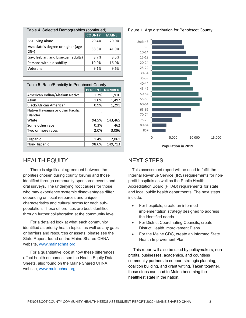| Table 4. Selected Demographics (continued) |               |              |  |  |  |
|--------------------------------------------|---------------|--------------|--|--|--|
|                                            | <b>COUNTY</b> | <b>MAINE</b> |  |  |  |
| 65+ living alone                           | 29.4%         | 29.0%        |  |  |  |
| Associate's degree or higher (age<br>$25+$ | 38.3%         | 41.9%        |  |  |  |
| Gay, lesbian, and bisexual (adults)        | 3.7%          | 3.5%         |  |  |  |
| Persons with a disability                  | 19.0%         | 16.0%        |  |  |  |
| Veterans                                   | 9.1%          | 9.6%         |  |  |  |

| Table 5. Race/Ethnicity in Penobscot County |       |                       |  |  |  |
|---------------------------------------------|-------|-----------------------|--|--|--|
|                                             |       | <b>PERCENT NUMBER</b> |  |  |  |
| American Indian/Alaskan Native              | 1.3%  | 1,910                 |  |  |  |
| Asian                                       | 1.0%  | 1,492                 |  |  |  |
| Black/African American                      | 0.9%  | 1,291                 |  |  |  |
| Native Hawaiian or other Pacific            |       |                       |  |  |  |
| Islander                                    |       |                       |  |  |  |
| White                                       | 94.5% | 143,465               |  |  |  |
| Some other race                             | 0.3%  | 462                   |  |  |  |
| Two or more races                           | 2.0%  | 3,096                 |  |  |  |
|                                             |       |                       |  |  |  |
| <b>Hispanic</b>                             | 1.4%  | 2,061                 |  |  |  |
| Non-Hispanic                                | 98.6% | 149,713               |  |  |  |

### HEALTH EQUITY

There is significant agreement between the priorities chosen during county forums and those identified through community-sponsored events and oral surveys. The underlying root causes for those who may experience systemic disadvantages differ depending on local resources and unique characteristics and cultural norms for each subpopulation. These differences are best identified through further collaboration at the community level.

For a detailed look at what each community identified as priority health topics, as well as any gaps or barriers and resources or assets, please see the State Report, found on the Maine Shared CHNA website, [www.mainechna.org.](http://www.mainechna.org/)

For a quantitative look at how these differences affect health outcomes, see the Health Equity Data Sheets, also found on the Maine Shared CHNA website, [www.mainechna.org.](http://www.mainechna.org/)

#### Figure 1. Age distribution for Penobscot County



### NEXT STEPS

This assessment report will be used to fulfill the Internal Revenue Service (IRS) requirements for nonprofit hospitals as well as the Public Health Accreditation Board (PHAB) requirements for state and local public health departments. The next steps include:

- For hospitals, create an informed implementation strategy designed to address the identified needs.
- For District Coordinating Councils, create District Health Improvement Plans.
- For the Maine CDC, create an informed State Health Improvement Plan.

This report will also be used by policymakers, nonprofits, businesses, academics, and countless community partners to support strategic planning, coalition building, and grant writing. Taken together, these steps can lead to Maine becoming the healthiest state in the nation.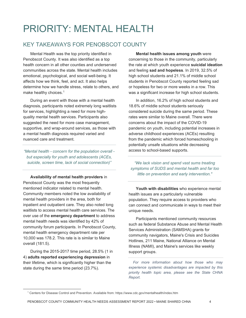# PRIORITY: MENTAL HEALTH

### KEY TAKEAWAYS FOR PENOBSCOT COUNTY

Mental Health was the top priority identified in Penobscot County. It was also identified as a top health concern in all other counties and underserved communities across the state. Mental health includes emotional, psychological, and social well-being. It affects how we think, feel, and act. It also helps determine how we handle stress, relate to others, and make healthy choices. [1](#page-6-0)

During an event with those with a mental health diagnosis, participants noted extremely long waitlists for services, highlighting a need for more highquality mental health services. Participants also suggested the need for more case management, supportive, and wrap-around services, as those with a mental health diagnosis required varied and nuanced care and treatment.

*"Mental health - concern for the population overall but especially for youth and adolescents (ACEs, suicide, screen time, lack of social connection)"*

**Availability of mental health providers** in Penobscot County was the most frequently mentioned indicator related to mental health. Community members noted the low availability of mental health providers in the area, both for inpatient and outpatient care. They also noted long waitlists to access mental health care services. The over use of the **emergency department** to address mental health needs was identified by 42% of community forum participants. In Penobscot County, mental health emergency department rate per 10,000 was 178.2. This rate is is similar to Maine overall (181.5).

During the 2015-2017 time period, 28.5% (1 in 4) **adults reported experiencing depression** in their lifetime, which is significantly higher than the state during the same time period (23.7%).

<span id="page-6-0"></span> $\overline{a}$ 

**Mental health issues among youth** were concerning to those in the community, particularly the rate at which youth experience **suicidal ideation** and feeling **sad and hopeless**. In 2019, 32.5% of high school students and 21.1% of middle school students in Penobscot County reported feeling sad or hopeless for two or more weeks in a row. This was a significant increase for high school students.

In addition, 16.2% of high school students and 18.6% of middle school students seriously considered suicide during the same period. These rates were similar to Maine overall. There were concerns about the impact of the COVID-19 pandemic on youth, including potential increases in adverse childhood experiences (ACEs) resulting from the pandemic which forced homeschooling in potentially unsafe situations while decreasing access to school-based supports.

*"We lack vision and spend vast sums treating symptoms of SUDS and mental health and far too little on prevention and early intervention."*

**Youth with disabilities** who experience mental health issues are a particularly vulnerable population. They require access to providers who can connect and communicate in ways to meet their unique needs.

Participants mentioned community resources such as federal Substance Abuse and Mental Health Services Administration (SAMSHA) grants for community navigators, Maine's Crisis and Suicides Hotlines, 211 Maine, National Alliance on Mental Illness (NAMI), and Maine's services like weekly support groups.

*For more information about how those who may experience systemic disadvantages are impacted by this priority health topic area, please see the State CHNA Report.*

<sup>1</sup> Centers for Disease Control and Prevention. Available from: https://www.cdc.gov/mentalhealth/index.htm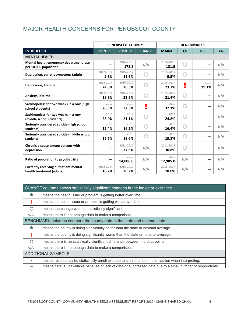### MAJOR HEALTH CONCERNS FOR PENOBSCOT COUNTY

|                                                                           | <b>PENOBSCOT COUNTY</b> |                    |               | <b>BENCHMARKS</b>  |       |               |       |
|---------------------------------------------------------------------------|-------------------------|--------------------|---------------|--------------------|-------|---------------|-------|
| <b>INDICATOR</b>                                                          | <b>POINT 1</b>          | <b>POINT 2</b>     | <b>CHANGE</b> | <b>MAINE</b>       | $+/-$ | U.S.          | $+/-$ |
| <b>MENTAL HEALTH</b>                                                      |                         |                    |               |                    |       |               |       |
| Mental health emergency department rate<br>per 10,000 population          |                         | 2016-2018<br>178.2 | N/A           | 2016-2018<br>181.5 |       |               | N/A   |
| Depression, current symptoms (adults)                                     | 2012-2014<br>9.8%       | 2015-2017<br>11.6% |               | 2015-2017<br>9.5%  |       |               | N/A   |
| <b>Depression, lifetime</b>                                               | 2012-2014<br>24.3%      | 2015-2017<br>28.5% |               | 2015-2017<br>23.7% |       | 2017<br>19.1% | N/A   |
| Anxiety, lifetime                                                         | 2012-2014<br>19.8%      | 2015-2017<br>23.9% |               | 2015-2017<br>21.4% |       |               | N/A   |
| Sad/hopeless for two weeks in a row (high<br>school students)             | 2017<br>28.3%           | 2019<br>32.5%      |               | 2019<br>32.1%      |       |               | N/A   |
| Sad/hopeless for two weeks in a row<br>(middle school students)           | 2017<br>23.0%           | 2019<br>21.1%      |               | 2019<br>24.8%      |       |               | N/A   |
| Seriously considered suicide (high school<br>students)                    | 2017<br>15.4%           | 2019<br>16.2%      |               | 2019<br>16.4%      | O     |               | N/A   |
| Seriously considered suicide (middle school<br>students)                  | 2017<br>15.7%           | 2019<br>18.6%      |               | 2019<br>19.8%      |       |               | N/A   |
| Chronic disease among persons with<br>depression                          |                         | 2011-2017<br>37.6% | N/A           | 2011-2017<br>30.8% |       |               | N/A   |
| Ratio of population to psychiatrists                                      |                         | 2019<br>14.006.0   | N/A           | 2019<br>12,985.0   | N/A   |               | N/A   |
| <b>Currently receiving outpatient mental</b><br>health treatment (adults) | 2012-2014<br>18.2%      | 2015-2017<br>20.2% | N/A           | 2015-2017<br>18.0% | N/A   |               | N/A   |

|         | CHANGE columns shows statistically significant changes in the indicator over time.                         |
|---------|------------------------------------------------------------------------------------------------------------|
| Ŵ       | means the health issue or problem is getting better over time.                                             |
|         | means the health issue or problem is getting worse over time.                                              |
| O       | means the change was not statistically significant.                                                        |
| N/A     | means there is not enough data to make a comparison.                                                       |
|         | BENCHMARK columns compare the county data to the state and national data.                                  |
| т       | means the county is doing significantly better than the state or national average.                         |
|         | means the county is doing significantly worse than the state or national average.                          |
| ∩       | means there is no statistically significant difference between the data points.                            |
| N/A     | means there is not enough data to make a comparison.                                                       |
|         | <b>ADDITIONAL SYMBOLS</b>                                                                                  |
| $\star$ | means results may be statistically unreliable due to small numbers, use caution when interpreting.         |
|         | means data is unavailable because of lack of data or suppressed data due to a small number of respondents. |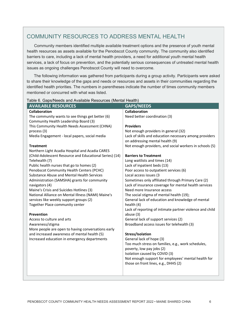### COMMUNITY RESOURCES TO ADDRESS MENTAL HEALTH

Community members identified multiple available treatment options and the presence of youth mental health resources as assets available for the Penobscot County community. The community also identified barriers to care, including a lack of mental health providers, a need for additional youth mental health services, a lack of focus on prevention, and the potentially serious consequences of untreated mental health issues as ongoing challenges Penobscot County will need to overcome.

The following information was gathered from participants during a group activity. Participants were asked to share their knowledge of the gaps and needs or resources and assets in their communities regarding the identified health priorities. The numbers in parentheses indicate the number of times community members mentioned or concurred with what was listed.

| <b>AVAILABLE RESOURCES</b>                                 | <b>GAPS/NEEDS</b>                                                                   |
|------------------------------------------------------------|-------------------------------------------------------------------------------------|
| Collaboration                                              | <b>Collaboration</b>                                                                |
| The community wants to see things get better (6)           | Need better coordination (3)                                                        |
| Community Health Leadership Board (3)                      |                                                                                     |
| This Community Health Needs Assessment (CHNA)              | <b>Providers</b>                                                                    |
| process (3)                                                | Not enough providers in general (32)                                                |
| Media Engagement - local papers, social media              | Lack of skills and education necessary among providers                              |
|                                                            | on addressing mental health (9)                                                     |
| <b>Treatment</b>                                           | Not enough providers, and social workers in schools (5)                             |
| Northern Light Acadia Hospital and Acadia CARES            |                                                                                     |
| (Child-Adolescent Resource and Educational Series) (14)    | <b>Barriers to Treatment</b>                                                        |
| Telehealth (7)                                             | Long waitlists and times (14)                                                       |
| Public health nurses that go to homes (2)                  | Lack of inpatient beds (13)                                                         |
| Penobscot Community Health Centers (PCHC)                  | Poor access to outpatient services (6)                                              |
| <b>Substance Abuse and Mental Health Services</b>          | Local access issues (3                                                              |
| Administration (SAMSHA) grants for community               | Sometimes only affiliated through Primary Care (2)                                  |
| navigators (4)<br>Maine's Crisis and Suicides Hotlines (3) | Lack of insurance coverage for mental health services<br>Need more Insurance access |
| National Alliance on Mental Illness (NAMI) Maine's         | The social stigma of mental health (19);                                            |
| services like weekly support groups (2)                    | General lack of education and knowledge of mental                                   |
| Together Place community center                            | health (4)                                                                          |
|                                                            | Lack of reporting of intimate partner violence and child                            |
| Prevention                                                 | abuse (3)                                                                           |
| Access to culture and arts                                 | General lack of support services (2)                                                |
| Awareness/stigma                                           | Broadband access issues for telehealth (3)                                          |
| More people are open to having conversations early         |                                                                                     |
| and increased awareness of mental health (5)               | Stress/Isolation                                                                    |
| Increased education in emergency departments               | General lack of hope (3)                                                            |
|                                                            | Too much stress on families, e.g., work schedules,                                  |
|                                                            | poverty, low pay jobs (2)                                                           |
|                                                            | Isolation caused by COVID (3)                                                       |
|                                                            | Not enough support for employees' mental health for                                 |
|                                                            | those on front lines, e.g., DHHS (2)                                                |
|                                                            |                                                                                     |
|                                                            |                                                                                     |

#### Table 6. Gaps/Needs and Available Resources (Mental Health)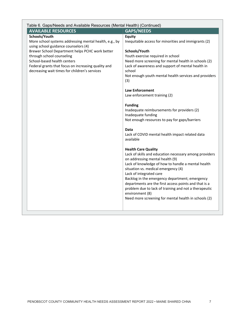| Table 6. Gaps/Needs and Available Resources (Mental Health) (Continued)                 |                                                                                       |  |  |  |  |
|-----------------------------------------------------------------------------------------|---------------------------------------------------------------------------------------|--|--|--|--|
| <b>AVAILABLE RESOURCES</b>                                                              | <b>GAPS/NEEDS</b>                                                                     |  |  |  |  |
| Schools/Youth                                                                           | Equity                                                                                |  |  |  |  |
| More school systems addressing mental health, e.g., by                                  | Inequitable access for minorities and immigrants (2)                                  |  |  |  |  |
| using school guidance counselors (4)<br>Brewer School Department helps PCHC work better | Schools/Youth                                                                         |  |  |  |  |
| through school counseling                                                               | Youth exercise required in school                                                     |  |  |  |  |
| School-based health centers                                                             | Need more screening for mental health in schools (2)                                  |  |  |  |  |
| Federal grants that focus on increasing quality and                                     | Lack of awareness and support of mental health in                                     |  |  |  |  |
| decreasing wait times for children's services                                           | school                                                                                |  |  |  |  |
|                                                                                         | Not enough youth mental health services and providers                                 |  |  |  |  |
|                                                                                         | (3)                                                                                   |  |  |  |  |
|                                                                                         | <b>Law Enforcement</b>                                                                |  |  |  |  |
|                                                                                         | Law enforcement training (2)                                                          |  |  |  |  |
|                                                                                         |                                                                                       |  |  |  |  |
|                                                                                         | <b>Funding</b>                                                                        |  |  |  |  |
|                                                                                         | Inadequate reimbursements for providers (2)                                           |  |  |  |  |
|                                                                                         | Inadequate funding                                                                    |  |  |  |  |
|                                                                                         | Not enough resources to pay for gaps/barriers                                         |  |  |  |  |
|                                                                                         | Data                                                                                  |  |  |  |  |
|                                                                                         | Lack of COVID mental health impact related data                                       |  |  |  |  |
|                                                                                         | available                                                                             |  |  |  |  |
|                                                                                         |                                                                                       |  |  |  |  |
|                                                                                         | <b>Health Care Quality</b>                                                            |  |  |  |  |
|                                                                                         | Lack of skills and education necessary among providers                                |  |  |  |  |
|                                                                                         | on addressing mental health (9)<br>Lack of knowledge of how to handle a mental health |  |  |  |  |
|                                                                                         | situation vs. medical emergency (4)                                                   |  |  |  |  |
|                                                                                         | Lack of integrated care                                                               |  |  |  |  |
|                                                                                         | Backlog in the emergency department; emergency                                        |  |  |  |  |
|                                                                                         | departments are the first access points and that is a                                 |  |  |  |  |
|                                                                                         | problem due to lack of training and not a therapeutic                                 |  |  |  |  |
|                                                                                         | environment (8)                                                                       |  |  |  |  |
|                                                                                         | Need more screening for mental health in schools (2)                                  |  |  |  |  |
|                                                                                         |                                                                                       |  |  |  |  |
|                                                                                         |                                                                                       |  |  |  |  |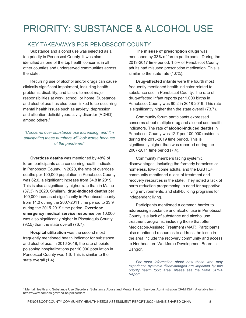# PRIORITY: SUBSTANCE & ALCOHOL USE

### KEY TAKEAWAYS FOR PENOBSCOT COUNTY

Substance and alcohol use was selected as a top priority in Penobscot County. It was also identified as one of the top health concerns in all other counties and underserved communities across the state.

Recurring use of alcohol and/or drugs can cause clinically significant impairment, including health problems, disability, and failure to meet major responsibilities at work, school, or home. Substance and alcohol use has also been linked to co-occurring mental health issues such as anxiety, depression, and attention-deficit/hyperactivity disorder (ADHD), among others.[2](#page-10-0)

*"Concerns over substance use increasing, and I'm anticipating these numbers will look worse because of the pandemic"*

**Overdose deaths** was mentioned by 48% of forum participants as a concerning health indicator in Penobscot County. In 2020, the rate of overdose deaths per 100,000 population in Penobscot County was 62.0, a significant increase from 34.8 in 2019. This is also a significantly higher rate than in Maine (37.3) in 2020. Similarly, **drug-induced deaths** per 100,000 increased significantly in Penobscot county from 14.0 during the 2007-2011 time period to 33.9 during the 2015-2019 time period. **Overdose emergency medical service response** per 10,000 was also significantly higher in Piscataquis County (92.5) than the state overall (76.7).

**Hospital utilization** was the second most frequently mentioned health indicator for substance and alcohol use. In 2016-2018, the rate of opiate poisoning hospitalizations per 10,000 population in Penobscot County was 1.6. This is similar to the state overall (1.4).

### The **misuse of prescription drugs** was

mentioned by 33% of forum participants. During the 2013-2017 time period, 1.5% of Penobscot County adults had misused prescription medication. This is similar to the state rate (1.0%).

**Drug-affected infants** were the fourth most frequently mentioned health indicator related to substance use in Penobscot County. The rate of drug-affected infant reports per 1,000 births in Penobscot County was 90.2 in 2018-2019. This rate is significantly higher than the state overall (73.7).

Community forum participants expressed concerns about multiple drug and alcohol use health indicators. The rate of **alcohol-induced deaths** in Penobscot County was 12.7 per 100,000 residents during the 2015-2019 time period. This is significantly higher than was reported during the 2007-2011 time period (7.4).

Community members facing systemic disadvantages, including the formerly homeless or homeless, low-income adults, and the LGBTQ+ community mentioned a lack of treatment and recovery resources in the state. They noted a lack of harm-reduction programming, a need for supportive living environments, and skill-building programs for independent living.

Participants mentioned a common barrier to addressing substance and alcohol use in Penobscot County is a lack of substance and alcohol use treatment programs, including those that offer Medication-Assisted Treatment (MAT). Participants also mentioned resources to address the issue in the area include the recovery community and access to Northeastern Workforce Development Board in Bangor.

*For more information about how those who may experience systemic disadvantages are impacted by this priority health topic area, please see the State CHNA Report.*

<span id="page-10-0"></span> $\overline{a}$  $^2$  Mental Health and Substance Use Disorders. Substance Abuse and Mental Health Services Administration (SAMHSA). Available from: https://www.samhsa.gov/find-help/disorders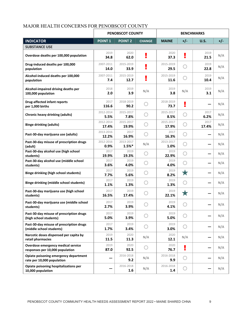#### MAJOR HEALTH CONCERNS FOR PENOBSCOT COUNTY

|                                                                       | <b>PENOBSCOT COUNTY</b> |                       | <b>BENCHMARKS</b> |                    |            |               |       |
|-----------------------------------------------------------------------|-------------------------|-----------------------|-------------------|--------------------|------------|---------------|-------|
| <b>INDICATOR</b>                                                      | <b>POINT 1</b>          | <b>POINT 2</b>        | <b>CHANGE</b>     | <b>MAINE</b>       | $+/-$      | <b>U.S.</b>   | $+/-$ |
| <b>SUBSTANCE USE</b>                                                  |                         |                       |                   |                    |            |               |       |
| Overdose deaths per 100,000 population                                | 2019<br>34.8            | 2020<br>62.0          | ē.                | 2020<br>37.3       | ¥          | 2019<br>21.5  | N/A   |
| Drug-induced deaths per 100,000<br>population                         | 2007-2011<br>14.0       | 2015-2019<br>33.9     |                   | 2015-2019<br>29.5  |            | 2019<br>22.8  | N/A   |
| Alcohol-induced deaths per 100,000<br>population                      | 2007-2011<br>7.4        | 2015-2019<br>12.7     |                   | 2015-2019<br>11.6  |            | 2019<br>10.4  | N/A   |
| Alcohol-impaired driving deaths per<br>100,000 population             | 2018<br>2.0             | 2019<br>3.9           | N/A               | 2019<br>3.8        | N/A        | 2019<br>3.1   | N/A   |
| <b>Drug-affected infant reports</b><br>per 1,000 births               | 2017<br>116.6           | 2018-2019<br>90.2     |                   | 2018-2019<br>73.7  | y          |               | N/A   |
| Chronic heavy drinking (adults)                                       | 2012-2014<br>5.5%       | 2015-2017<br>7.8%     |                   | 2015-2017<br>8.5%  |            | 2017<br>6.2%  | N/A   |
| <b>Binge drinking (adults)</b>                                        | 2012-2014<br>17.4%      | 2015-2017<br>19.9%    |                   | 2015-2017<br>17.9% |            | 2017<br>17.4% | N/A   |
| Past-30-day marijuana use (adults)                                    | 2013-2016<br>12.2%      | 2017<br>16.9%         |                   | 2017<br>16.3%      |            |               | N/A   |
| Past-30-day misuse of prescription drugs<br>(adult)                   | 2012-2016<br>0.9%       | 2013-2017<br>$1.5%$ * | N/A               | 2013-2017<br>1.0%  |            |               | N/A   |
| Past-30-day alcohol use (high school<br>students)                     | 2017<br>19.9%           | 2019<br>19.3%         | O                 | 2019<br>22.9%      |            |               | N/A   |
| Past-30-day alcohol use (middle school<br>students)                   | 2017<br>3.6%            | 2019<br>4.0%          |                   | 2019<br>4.0%       |            |               | N/A   |
| <b>Binge drinking (high school students)</b>                          | 2017<br>7.7%            | 2019<br>5.6%          |                   | 2019<br>8.2%       | $\bigstar$ |               | N/A   |
| <b>Binge drinking (middle school students)</b>                        | 2017<br>1.1%            | 2019<br>1.3%          |                   | 2019<br>1.3%       |            |               | N/A   |
| Past-30-day marijuana use (high school<br>students)                   | 2017<br>16.5%           | 2019<br>17.4%         |                   | 2019<br>22.1%      | X          |               | N/A   |
| Past-30-day marijuana use (middle school<br>students)                 | 2017<br>2.7%            | 2019<br>3.9%          |                   | 2019<br>4.1%       |            |               | N/A   |
| Past-30-day misuse of prescription drugs<br>(high school students)    | 2017<br>5.0%            | 2019<br>3.9%          |                   | 2019<br>5.0%       |            |               | N/A   |
| Past-30-day misuse of prescription drugs<br>(middle school students)  | 2017<br>1.7%            | 2019<br>3.4%          | €                 | 2019<br>3.0%       | O          |               | N/A   |
| Narcotic doses dispensed per capita by<br>retail pharmacies           | 2019<br>11.5            | 2020<br>11.3          | N/A               | 2020<br>12.1       | N/A        |               | N/A   |
| Overdose emergency medical service<br>responses per 10,000 population | 2019<br>87.0            | 2020<br>92.5          | 〔 〕               | 2020<br>76.7       | ¥          |               | N/A   |
| Opiate poisoning emergency department<br>rate per 10,000 population   |                         | 2016-2018<br>9.2      | N/A               | 2016-2018<br>9.9   | O          |               | N/A   |
| Opiate poisoning hospitalizations per<br>10,000 population            |                         | 2016-2018<br>1.6      | N/A               | 2016-2018<br>1.4   |            |               | N/A   |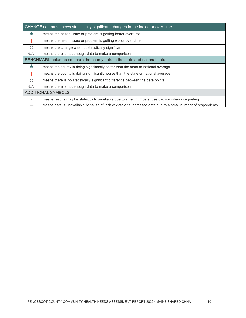|         | CHANGE columns shows statistically significant changes in the indicator over time.                         |  |  |  |
|---------|------------------------------------------------------------------------------------------------------------|--|--|--|
| ★       | means the health issue or problem is getting better over time.                                             |  |  |  |
|         | means the health issue or problem is getting worse over time.                                              |  |  |  |
| ∩       | means the change was not statistically significant.                                                        |  |  |  |
| N/A     | means there is not enough data to make a comparison.                                                       |  |  |  |
|         | BENCHMARK columns compare the county data to the state and national data.                                  |  |  |  |
| ★       | means the county is doing significantly better than the state or national average.                         |  |  |  |
|         | means the county is doing significantly worse than the state or national average.                          |  |  |  |
| O       | means there is no statistically significant difference between the data points.                            |  |  |  |
| N/A     | means there is not enough data to make a comparison.                                                       |  |  |  |
|         | <b>ADDITIONAL SYMBOLS</b>                                                                                  |  |  |  |
| $\star$ | means results may be statistically unreliable due to small numbers, use caution when interpreting.         |  |  |  |
|         | means data is unavailable because of lack of data or suppressed data due to a small number of respondents. |  |  |  |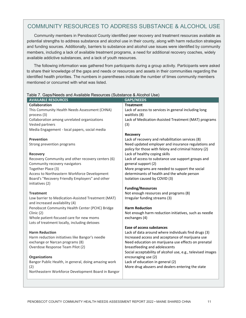### COMMUNITY RESOURCES TO ADDRESS SUBSTANCE & ALCOHOL USE

Community members in Penobscot County identified peer recovery and treatment resources available as potential strengths to address substance and alcohol use in their county, along with harm reduction strategies and funding sources. Additionally, barriers to substance and alcohol use issues were identified by community members, including a lack of available treatment programs, a need for additional recovery coaches, widely available addictive substances, and a lack of youth resources.

The following information was gathered from participants during a group activity. Participants were asked to share their knowledge of the gaps and needs or resources and assets in their communities regarding the identified health priorities. The numbers in parentheses indicate the number of times community members mentioned or concurred with what was listed.

| <b>AVAILABLE RESOURCES</b>                                                                      | <b>GAPS/NEEDS</b>                                           |
|-------------------------------------------------------------------------------------------------|-------------------------------------------------------------|
| Collaboration                                                                                   | <b>Treatment</b>                                            |
| This Community Health Needs Assessment (CHNA)                                                   | Lack of access to services in general including long        |
| process (3)                                                                                     | waitlists (8)                                               |
| Collaboration among unrelated organizations                                                     | Lack of Medication-Assisted Treatment (MAT) programs        |
| Vested partners                                                                                 | (3)                                                         |
| Media Engagement - local papers, social media                                                   |                                                             |
|                                                                                                 | <b>Recovery</b>                                             |
| <b>Prevention</b>                                                                               | Lack of recovery and rehabilitation services (8)            |
| Strong prevention programs                                                                      | Need updated employer and insurance regulations and         |
|                                                                                                 | policy for those with felony and criminal history (2)       |
| Recovery                                                                                        | Lack of healthy coping skills                               |
| Recovery Community and other recovery centers (6)                                               | Lack of access to substance use support groups and          |
| Community recovery navigators                                                                   | general support (2)                                         |
| Together Place (3)                                                                              | More programs are needed to support the social              |
| Access to Northeastern Workforce Development<br>Board's "Recovery Friendly Employers" and other | determinants of health and the whole person                 |
| initiatives (2)                                                                                 | Isolation caused by COVID (3)                               |
|                                                                                                 | <b>Funding/Resources</b>                                    |
| <b>Treatment</b>                                                                                | Not enough resources and programs (8)                       |
| Low barrier to Medication-Assisted Treatment (MAT)                                              | Irregular funding streams (3)                               |
| and increased availability (4)                                                                  |                                                             |
| Penobscot Community Health Center (PCHC) Bridge                                                 | <b>Harm Reduction</b>                                       |
| Clinic (2)                                                                                      | Not enough harm reduction initiatives, such as needle       |
| Whole patient-focused care for new moms                                                         | exchanges (4)                                               |
| Lots of treatment locally, including detoxes                                                    |                                                             |
|                                                                                                 | <b>Ease of access substances</b>                            |
| <b>Harm Reduction</b>                                                                           | Lack of data around where individuals find drugs (3)        |
| Harm reduction initiatives like Bangor's needle                                                 | Increased access and acceptance of marijuana use            |
| exchange or Narcan programs (8)                                                                 | Need education on marijuana use effects on prenatal         |
| Overdose Response Team Pilot (2)                                                                | breastfeeding and adolescents                               |
|                                                                                                 | Social acceptability of alcohol use, e.g., televised images |
| <b>Organizations</b>                                                                            | encouraging use (2)                                         |
| Bangor Public Health, in general, doing amazing work                                            | Lack of education in general (2)                            |
| (2)                                                                                             | More drug abusers and dealers entering the state            |
| Northeastern Workforce Development Board in Bangor                                              |                                                             |

#### Table 7. Gaps/Needs and Available Resources (Substance & Alcohol Use)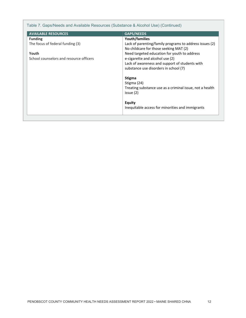Table 7. Gaps/Needs and Available Resources (Substance & Alcohol Use) (Continued)

| <b>AVAILABLE RESOURCES</b>              | <b>GAPS/NEEDS</b>                                                                                 |
|-----------------------------------------|---------------------------------------------------------------------------------------------------|
| <b>Funding</b>                          | Youth/families                                                                                    |
| The focus of federal funding (3)        | Lack of parenting/family programs to address issues (2)<br>No childcare for those seeking MAT (2) |
| Youth                                   | Need targeted education for youth to address                                                      |
| School counselors and resource officers | e-cigarette and alcohol use (2)                                                                   |
|                                         | Lack of awareness and support of students with<br>substance use disorders in school (7)           |
|                                         |                                                                                                   |
|                                         | <b>Stigma</b><br>Stigma (24)                                                                      |
|                                         | Treating substance use as a criminal issue, not a health<br>issue (2)                             |
|                                         |                                                                                                   |
|                                         | <b>Equity</b>                                                                                     |
|                                         | Inequitable access for minorities and immigrants                                                  |
|                                         |                                                                                                   |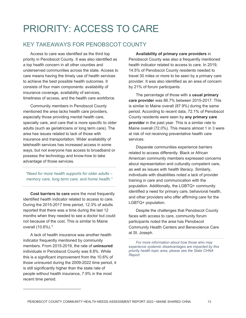# PRIORITY: ACCESS TO CARE

### KEY TAKEAWAYS FOR PENOBSCOT COUNTY

Access to care was identified as the third top priority in Penobscot County. It was also identified as a top health concern in all other counties and underserved communities across the state. Access to care means having the timely use of health services to achieve the best possible health outcomes. It consists of four main components: availability of insurance coverage, availability of services, timeliness of access, and the health care workforce.

Community members in Penobscot County mentioned the area lacks health care providers, especially those providing mental health care, specialty care, and care that is more specific to older adults (such as geriatricians or long term care). The area has issues related to lack of those with insurance and transportation. Wider availability of telehealth services has increased access in some ways, but not everyone has access to broadband or possess the technology and know-how to take advantage of those services.

*"Need for more health supports for older adults – memory care, long term care, and home health."*

**Cost barriers to care** were the most frequently identified health indicator related to access to care. During the 2015-2017 time period, 12.3% of adults reported that there was a time during the last 12 months when they needed to see a doctor but could not because of the cost. This is similar to Maine overall (10.6%).[3](#page-15-0)

A lack of health insurance was another health indicator frequently mentioned by community members. From 2015-2019, the rate of **uninsured** individuals in Penobscot County was 8.8%. While this is a significant improvement from the 10.6% of those uninsured during the 2009-2022 time period, it is still significantly higher than the state rate of people without health insurance, 7.9% in the most recent time period.

<span id="page-15-0"></span> $\overline{a}$ 

**Availability of primary care providers** in Penobscot County was also a frequently mentioned health indicator related to access to care. In 2019, 14.5% of Penobscot County residents needed to travel 30 miles or more to be seen by a primary care provider. It was also identified as an area of concern by 21% of forum participants.

The percentage of those with a **usual primary care provider** was 86.7% between 2015-2017. This is similar to Maine overall (87.9%) during the same period. According to recent data, 72.1% of Penobscot County residents were seen by **any primary care provider** in the past year. This is a similar rate to Maine overall (72.0%). This means almost 1 in 3 were at risk of not receiving preventative health care services.

Disparate communities experience barriers related to access differently. Black or African American community members expressed concerns about representation and culturally competent care, as well as issues with health literacy. Similarly, individuals with disabilities noted a lack of provider training in care and communication with the population. Additionally, the LGBTQ+ community identified a need for primary care, behavioral health, and other providers who offer affirming care for the LGBTQ+ population.

Despite the challenges that Penobscot County faces with access to care, community forum participants noted the area has Penobscot Community Health Centers and Benevolence Care at St. Joseph.

*For more information about how those who may experience systemic disadvantages are impacted by this priority health topic area, please see the State CHNA Report.*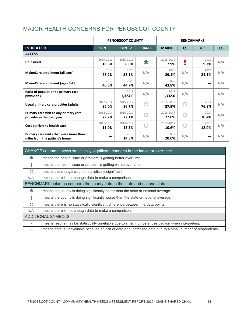### MAJOR HEALTH CONCERNS FOR PENOBSCOT COUNTY

|                                                                             |                    | <b>PENOBSCOT COUNTY</b> |               |                    |       | <b>BENCHMARKS</b> |       |
|-----------------------------------------------------------------------------|--------------------|-------------------------|---------------|--------------------|-------|-------------------|-------|
| <b>INDICATOR</b>                                                            | <b>POINT 1</b>     | <b>POINT 2</b>          | <b>CHANGE</b> | <b>MAINE</b>       | $+/-$ | U.S.              | $+/-$ |
| <b>ACCESS</b>                                                               |                    |                         |               |                    |       |                   |       |
| <b>Uninsured</b>                                                            | 2009-2011<br>10.6% | 2015-2019<br>8.8%       |               | 2015-2019<br>7.9%  | ٠     | 2019<br>9.2%      | N/A   |
| MaineCare enrollment (all ages)                                             | 2019<br>28.2%      | 2020<br>32.1%           | N/A           | 2020<br>29.1%      | N/A   | 2020<br>24.1%     | N/A   |
| MaineCare enrollment (ages 0-19)                                            | 2019<br>40.6%      | 2020<br>44.7%           | N/A           | 2020<br>43.8%      | N/A   |                   | N/A   |
| Ratio of population to primary care<br>physicians                           |                    | 2019<br>1,324.0         | N/A           | 2019<br>1,332.0    | N/A   |                   | N/A   |
| Usual primary care provider (adults)                                        | 2012-2014<br>86.0% | 2015-2017<br>86.7%      |               | 2015-2017<br>87.9% |       | 2017<br>76.8%     | N/A   |
| Primary care visit to any primary care<br>provider in the past year         | 2012-2014<br>72.7% | 2015-2017<br>72.1%      |               | 2015-2017<br>72.0% |       | 2017<br>70.4%     | N/A   |
| Cost barriers to health care                                                | 2011-2013<br>11.0% | 2015-2017<br>12.3%      |               | 2015-2017<br>10.6% |       | 2016<br>12.0%     | N/A   |
| Primary care visits that were more than 30<br>miles from the patient's home |                    | 2019<br>14.5%           | N/A           | 2019<br>20.0%      | N/A   |                   | N/A   |

|         | CHANGE columns shows statistically significant changes in the indicator over time.                         |
|---------|------------------------------------------------------------------------------------------------------------|
|         | means the health issue or problem is getting better over time.                                             |
|         | means the health issue or problem is getting worse over time.                                              |
| ∩       | means the change was not statistically significant.                                                        |
| N/A     | means there is not enough data to make a comparison.                                                       |
|         | BENCHMARK columns compare the county data to the state and national data.                                  |
|         | means the county is doing significantly better than the state or national average.                         |
|         | means the county is doing significantly worse than the state or national average.                          |
| ∩       | means there is no statistically significant difference between the data points.                            |
| N/A     | means there is not enough data to make a comparison.                                                       |
|         | <b>ADDITIONAL SYMBOLS</b>                                                                                  |
| $\star$ | means results may be statistically unreliable due to small numbers, use caution when interpreting.         |
|         | means data is unavailable because of lack of data or suppressed data due to a small number of respondents. |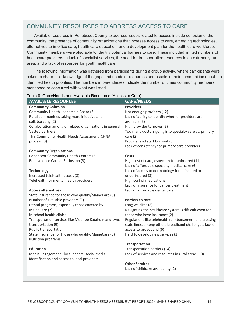### COMMUNITY RESOURCES TO ADDRESS ACCESS TO CARE

Available resources in Penobscot County to address issues related to access include cohesion of the community, the presence of community organizations that increase access to care, emerging technologies, alternatives to in-office care, health care education, and a development plan for the health care workforce. Community members were also able to identify potential barriers to care. These included limited numbers of healthcare providers, a lack of specialist services, the need for transportation resources in an extremely rural area, and a lack of resources for youth healthcare.

The following information was gathered from participants during a group activity, where participants were asked to share their knowledge of the gaps and needs or resources and assets in their communities about the identified health priorities. The numbers in parentheses indicate the number of times community members mentioned or concurred with what was listed.

| <b>AVAILABLE RESOURCES</b>                              | <b>GAPS/NEEDS</b>                                       |
|---------------------------------------------------------|---------------------------------------------------------|
| <b>Community Cohesion</b>                               | <b>Providers</b>                                        |
| Community Health Leadership Board (3)                   | Not enough providers (12)                               |
| Rural communities taking more initiative and            | Lack of ability to identify whether providers are       |
| collaborating (2)                                       | available (3)                                           |
| Collaboration among unrelated organizations in general  | High provider turnover (3)                              |
| Vested partners                                         | Too many doctors going into specialty care vs. primary  |
| This Community Health Needs Assessment (CHNA)           | care $(2)$                                              |
| process (3)                                             | Provider and staff burnout (5)                          |
|                                                         | Lack of consistency for primary care providers          |
| <b>Community Organizations</b>                          |                                                         |
| Penobscot Community Health Centers (6)                  | Costs                                                   |
| Benevolence Care at St. Joseph (3)                      | High cost of care, especially for uninsured (11)        |
|                                                         | Lack of affordable specialty medical care (6)           |
| <b>Technology</b>                                       | Lack of access to dermatology for uninsured or          |
| Increased telehealth access (8)                         | underinsured (3)                                        |
| Telehealth for mental health providers                  | High cost of medications                                |
|                                                         | Lack of insurance for cancer treatment                  |
| <b>Access alternatives</b>                              | Lack of affordable dental care                          |
| State insurance for those who qualify/MaineCare (6)     |                                                         |
| Number of available providers (3)                       | <b>Barriers to care</b>                                 |
| Dental programs, especially those covered by            | Long waitlists (8)                                      |
| MaineCare (2)                                           | Navigating the healthcare system is difficult even for  |
| In-school health clinics                                | those who have insurance (2)                            |
| Transportation services like Mobilize Katahdin and Lynx | Regulations like telehealth reimbursement and crossing  |
| transportation (9)                                      | state lines, among others broadband challenges, lack of |
| Public transportation                                   | access to broadband (6)                                 |
| State insurance for those who qualify/MaineCare (6)     | Hard to develop new services (2)                        |
| Nutrition programs                                      |                                                         |
|                                                         | <b>Transportation</b>                                   |
| <b>Education</b>                                        | Transportation barriers (14)                            |
| Media Engagement - local papers, social media           | Lack of services and resources in rural areas (10)      |
| identification and access to local providers            | <b>Other Services</b>                                   |
|                                                         |                                                         |
|                                                         | Lack of childcare availability (2)                      |
|                                                         |                                                         |

#### Table 8. Gaps/Needs and Available Resources (Access to Care)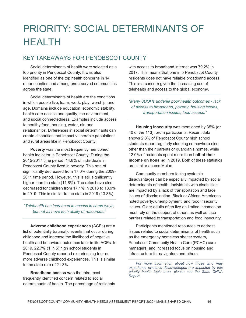# PRIORITY: SOCIAL DETERMINANTS OF HEALTH

### KEY TAKEAWAYS FOR PENOBSCOT COUNTY

Social determinants of health were selected as a top priority in Penobscot County. It was also identified as one of the top health concerns in 14 other counties and among underserved communities across the state.

Social determinants of health are the conditions in which people live, learn, work, play, worship, and age. Domains include education, economic stability, health care access and quality, the environment, and social connectedness. Examples include access to healthy food, housing, water, air, and relationships. Differences in social determinants can create disparities that impact vulnerable populations and rural areas like in Penobscot County.

**Poverty** was the most frequently mentioned health indicator in Penobscot County. During the 2015-2017 time period, 14.8% of individuals in Penobscot County lived in poverty. This rate of significantly decreased from 17.0% during the 2009- 2011 time period. However, this is still significantly higher than the state (11.8%). The rates have also decreased for children from 17.1% in 2018 to 13.9% in 2019. This is similar to the state in 2019 (13.8%).

#### *"Telehealth has increased in access in some ways, but not all have tech ability of resources."*

**Adverse childhood experiences** (ACEs) are a list of potentially traumatic events that occur during childhood and increase the likelihood of negative health and behavioral outcomes later in life ACEs. In 2019, 22.7% (1 in 5) high school students in Penobscot County reported experiencing four or more adverse childhood experiences. This is similar to the state rate of 21.3%.

**Broadband access was** the third most frequently identified concern related to social determinants of health. The percentage of residents with access to broadband internet was 79.2% in 2017. This means that one in 5 Penobscot County residents does not have reliable broadband access. This is a concern given the increasing use of telehealth and access to the global economy.

*"Many SDOHs underlie poor health outcomes - lack of access to broadband, poverty, housing issues, transportation issues, food access."*

**Housing Insecurity** was mentioned by 35% (or 40 of the 113) forum participants. Recent data shows 2.8% of Penobscot County high school students report regularly sleeping somewhere else other than their parents or guardian's homes, while 12.0% of residents spent more than **half of their income on housing** in 2019. Both of these statistics are similar across Maine.

Community members facing systemic disadvantages can be especially impacted by social determinants of health. Individuals with disabilities are impacted by a lack of transportation and face issues of discrimination. Black or African Americans noted poverty, unemployment, and food insecurity issues. Older adults often live on limited incomes on must rely on the support of others as well as face barriers related to transportation and food insecurity.

Participants mentioned resources to address issues related to social determinants of health such as the emergency homeless shelter system, Penobscot Community Health Care (PCHC) care managers, and increased focus on housing and infrastructure for navigators and others.

*For more information about how those who may experience systemic disadvantages are impacted by this priority health topic area, please see the State CHNA Report.*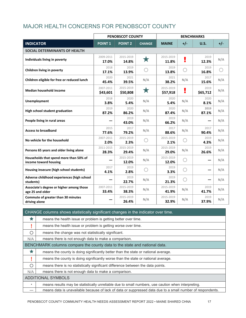### MAJOR HEALTH CONCERNS FOR PENOBSCOT COUNTY

|                                                                 |                       | <b>PENOBSCOT COUNTY</b> |               |                       |       | <b>BENCHMARKS</b> |       |
|-----------------------------------------------------------------|-----------------------|-------------------------|---------------|-----------------------|-------|-------------------|-------|
| <b>INDICATOR</b>                                                | <b>POINT 1</b>        | <b>POINT 2</b>          | <b>CHANGE</b> | <b>MAINE</b>          | $+/-$ | U.S.              | $+/-$ |
| SOCIAL DETERMINANTS OF HEALTH                                   |                       |                         |               |                       |       |                   |       |
| Individuals living in poverty                                   | 2009-2011<br>17.0%    | 2015-2019<br>14.8%      | ★             | 2015-2019<br>11.8%    |       | 2019<br>12.3%     | N/A   |
| Children living in poverty                                      | 2018<br>17.1%         | 2019<br>13.9%           |               | 2019<br>13.8%         | O     | 2019<br>16.8%     |       |
| Children eligible for free or reduced lunch                     | 2020<br>45.4%         | 2021<br>39.5%           | N/A           | 2021<br>38.2%         | N/A   | 2017<br>15.6%     | N/A   |
| Median household income                                         | 2007-2011<br>\$43,601 | 2015-2019<br>\$50,808   | $\bigstar$    | 2015-2019<br>\$57,918 | ũ.    | 2019<br>\$65,712  | N/A   |
| <b>Unemployment</b>                                             | 2018<br>3.8%          | 2020<br>5.4%            | N/A           | 2020<br>5.4%          | N/A   | 2020<br>8.1%      | N/A   |
| High school student graduation                                  | 2019<br>87.2%         | 2020<br>86.2%           | N/A           | 2020<br>87.4%         | N/A   | 2019<br>87.1%     | N/A   |
| People living in rural areas                                    |                       | 2019<br>43.0%           | N/A           | 2019<br>66.2%         | N/A   |                   | N/A   |
| <b>Access to broadband</b>                                      | 2015<br>77.6%         | 2017<br>79.2%           | N/A           | 2017<br>88.6%         | N/A   | 2017<br>90.4%     | N/A   |
| No vehicle for the household                                    | 2007-2011<br>2.0%     | 2015-2019<br>2.3%       |               | 2015-2019<br>2.1%     | O     | 2019<br>4.3%      | N/A   |
| Persons 65 years and older living alone                         | 2011-2015<br>28.3%    | 2015-2019<br>29.4%      | N/A           | 2015-2019<br>29.0%    | N/A   | 2019<br>26.6%     | N/A   |
| Households that spend more than 50% of<br>income toward housing |                       | 2015-2019<br>12.0%      | N/A           | 2015-2019<br>12.0%    | O     |                   | N/A   |
| Housing insecure (high school students)                         | 2017<br>4.1%          | 2019<br>2.8%            |               | 2019<br>3.3%          | O     |                   | N/A   |
| Adverse childhood experiences (high school<br>students)         |                       | 2019<br>22.7%           | N/A           | 2019<br>21.3%         | C.    |                   | N/A   |
| Associate's degree or higher among those<br>age 25 and older    | 2007-2011<br>33.4%    | 2015-2019<br>38.3%      | N/A           | 2015-2019<br>41.9%    | N/A   | 2019<br>41.7%     | N/A   |
| Commute of greater than 30 minutes<br>driving alone             |                       | 2015-2019<br>26.4%      | N/A           | 2015-2019<br>32.9%    | N/A   | 2019<br>37.9%     | N/A   |

### CHANGE columns shows statistically significant changes in the indicator over time.

|         | means the health issue or problem is getting better over time.                                             |
|---------|------------------------------------------------------------------------------------------------------------|
|         | means the health issue or problem is getting worse over time.                                              |
| ∩       | means the change was not statistically significant.                                                        |
| N/A     | means there is not enough data to make a comparison.                                                       |
|         | BENCHMARK columns compare the county data to the state and national data.                                  |
| Х       | means the county is doing significantly better than the state or national average.                         |
|         | means the county is doing significantly worse than the state or national average.                          |
| Ω       | means there is no statistically significant difference between the data points.                            |
| N/A     | means there is not enough data to make a comparison.                                                       |
|         | <b>ADDITIONAL SYMBOLS</b>                                                                                  |
| $\star$ | means results may be statistically unreliable due to small numbers, use caution when interpreting.         |
|         | means data is unavailable because of lack of data or suppressed data due to a small number of respondents. |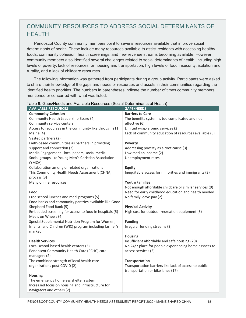### COMMUNITY RESOURCES TO ADDRESS SOCIAL DETERMINANTS OF **HFAITH**

Penobscot County community members point to several resources available that improve social determinants of health. These include many resources available to assist residents with accessing healthy foods, community cohesion, health screenings, and new revenue streams becoming available. However, community members also identified several challenges related to social determinants of health, including high levels of poverty, lack of resources for housing and transportation, high levels of food insecurity, isolation and rurality, and a lack of childcare resources.

The following information was gathered from participants during a group activity. Participants were asked to share their knowledge of the gaps and needs or resources and assets in their communities regarding the identified health priorities. The numbers in parentheses indicate the number of times community members mentioned or concurred with what was listed.

| <b>AVAILABLE RESOURCES</b>                                                      | <b>GAPS/NEEDS</b>                                       |
|---------------------------------------------------------------------------------|---------------------------------------------------------|
| <b>Community Cohesion</b>                                                       | <b>Barriers to Care</b>                                 |
| Community Health Leadership Board (4)                                           | The benefits system is too complicated and not          |
| Community service centers                                                       | effective (6)                                           |
| Access to recourses in the community like through 211                           | Limited wrap-around services (2)                        |
| Maine (4)                                                                       | Lack of community education of resources available (3)  |
| Vested partners (2)                                                             |                                                         |
| Faith-based communities as partners in providing                                | <b>Poverty</b>                                          |
| support and connection (3)                                                      | Addressing poverty as a root cause (3)                  |
| Media Engagement - local papers, social media                                   | Low median income (2)                                   |
| Social groups like Young Men's Christian Association<br>(YMCA)                  | Unemployment rates                                      |
| Collaboration among unrelated organizations                                     | <b>Equity</b>                                           |
| This Community Health Needs Assessment (CHNA)                                   | Inequitable access for minorities and immigrants (3)    |
| process (3)                                                                     |                                                         |
| Many online resources                                                           | <b>Youth/Families</b>                                   |
|                                                                                 | Not enough affordable childcare or similar services (9) |
| Food                                                                            | Need for early childhood education and health needed    |
| Free school lunches and meal programs (5)                                       | No family leave pay (2)                                 |
| Food banks and community pantries available like Good<br>Shepherd Food Bank (5) | <b>Physical Activity</b>                                |
| Embedded screening for access to food in hospitals (5)                          | High cost for outdoor recreation equipment (3)          |
| Meals on Wheels (4)                                                             |                                                         |
| Special Supplemental Nutrition Program for Women,                               | <b>Funding</b>                                          |
| Infants, and Children (WIC) program including farmer's                          | Irregular funding streams (3)                           |
| market                                                                          |                                                         |
|                                                                                 | <b>Housing</b>                                          |
| <b>Health Services</b>                                                          | Insufficient affordable and safe housing (20)           |
| Local school-based health centers (3)                                           | No 24/7 place for people experiencing homelessness to   |
| Penobscot Community Health Care (PCHC) care                                     | access services (2)                                     |
| managers (2)                                                                    |                                                         |
| The combined strength of local health care                                      | Transportation                                          |
| organizations post-COVID (2)                                                    | Transportation barriers like lack of access to public   |
|                                                                                 | transportation or bike lanes (17)                       |
| <b>Housing</b>                                                                  |                                                         |
| The emergency homeless shelter system                                           |                                                         |
| Increased focus on housing and infrastructure for                               |                                                         |
| navigators and others (2)                                                       |                                                         |

#### Table 9. Gaps/Needs and Available Resources (Social Determinants of Health)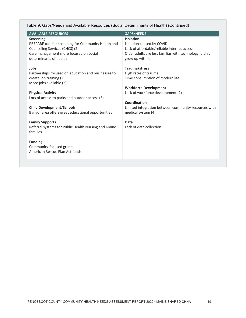Table 9. Gaps/Needs and Available Resources (Social Determinants of Health) (Continued)

| <b>AVAILABLE RESOURCES</b>                           | <b>GAPS/NEEDS</b>                                      |
|------------------------------------------------------|--------------------------------------------------------|
| <b>Screening</b>                                     | <b>Isolation</b>                                       |
| PREPARE tool for screening for Community Health and  | Isolation caused by COVID                              |
| Counseling Services (CHCS) (2)                       | Lack of affordable/reliable internet access            |
| Care management more focused on social               | Older adults are less familiar with technology, didn't |
| determinants of health                               | grow up with it                                        |
| Jobs                                                 | Trauma/stress                                          |
| Partnerships focused on education and businesses to  | High rates of trauma                                   |
| create job training (2)                              | Time consumption of modern life                        |
| More jobs available (2)                              |                                                        |
|                                                      | <b>Workforce Development</b>                           |
| <b>Physical Activity</b>                             | Lack of workforce development (2)                      |
| Lots of access to parks and outdoor access (3)       |                                                        |
|                                                      | Coordination                                           |
| <b>Child Development/Schools</b>                     | Limited integration between community resources with   |
| Bangor area offers great educational opportunities   | medical system (4)                                     |
| <b>Family Supports</b>                               | Data                                                   |
| Referral systems for Public Health Nursing and Maine | Lack of data collection                                |
| families                                             |                                                        |
|                                                      |                                                        |
| Funding:                                             |                                                        |
| Community-focused grants                             |                                                        |
| American Rescue Plan Act funds                       |                                                        |
|                                                      |                                                        |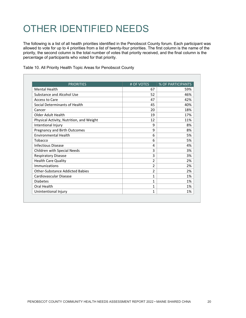# OTHER IDENTIFIED NEEDS

The following is a list of all health priorities identified in the Penobscot County forum. Each participant was allowed to vote for up to 4 priorities from a list of twenty-four priorities. The first column is the name of the priority, the second column is the total number of votes that priority received, and the final column is the percentage of participants who voted for that priority.

| <b>PRIORITIES</b>                        | # OF VOTES     | % OF PARTICIPANTS |
|------------------------------------------|----------------|-------------------|
| <b>Mental Health</b>                     | 67             | 59%               |
| Substance and Alcohol Use                | 52             | 46%               |
| Access to Care                           | 47             | 42%               |
| Social Determinants of Health            | 45             | 40%               |
| Cancer                                   | 20             | 18%               |
| Older Adult Health                       | 19             | 17%               |
| Physical Activity, Nutrition, and Weight | 12             | 11%               |
| Intentional Injury                       | 9              | 8%                |
| Pregnancy and Birth Outcomes             | 9              | 8%                |
| <b>Fnvironmental Health</b>              | 6              | 5%                |
| Tobacco                                  | 6              | 5%                |
| Infectious Disease                       | 4              | 4%                |
| Children with Special Needs              | 3              | 3%                |
| <b>Respiratory Disease</b>               | 3              | 3%                |
| <b>Health Care Quality</b>               | 2              | 2%                |
| Immunizations                            | 2              | 2%                |
| <b>Other-Substance Addicted Babies</b>   | $\mathfrak{p}$ | 2%                |
| Cardiovascular Disease                   | 1              | 1%                |
| <b>Diabetes</b>                          | 1              | 1%                |
| Oral Health                              | 1              | 1%                |
| Unintentional Injury                     | 1              | 1%                |

Table 10. All Priority Health Topic Areas for Penobscot County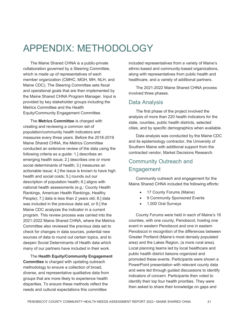## APPENDIX: METHODOLOGY

The Maine Shared CHNA is a public-private collaboration governed by a Steering Committee, which is made up of representatives of each member organization (CMHC, MGH, MH, NLH, and Maine CDC). The Steering Committee sets fiscal and operational goals that are then implemented by the Maine Shared CHNA Program Manager. Input is provided by key stakeholder groups including the Metrics Committee and the Health Equity/Community Engagement Committee.

The **Metrics Committee** is charged with creating and reviewing a common set of population/community health indicators and measures every three years. Before the 2018-2019 Maine Shared CHNA, the Metrics Committee conducted an extensive review of the data using the following criteria as a guide: 1.] describes an emerging health issue; 2.] describes one or more social determinants of health; 3.] measures an actionable issue; 4.] the issue is known to have high health and social costs; 5.] rounds out our description of population health; 6.] aligns with national health assessments (e.g.: County Health Rankings, American Health Rankings, Healthy People); 7.] data is less than 2 years old; 8.] data was included in the previous data set, or 9.] the Maine CDC analyzes the indicator in a current program. This review process was carried into the 2021-2022 Maine Shared CHNA, where the Metrics Committee also reviewed the previous data set to check for changes in data sources, potential new sources of data to round out certain topics, and to deepen Social Determinants of Health data which many of our partners have included in their work.

The **Health Equity/Community Engagement Committee** is charged with updating outreach methodology to ensure a collection of broad, diverse, and representative qualitative data from groups that are more likely to experience health disparities. To ensure these methods reflect the needs and cultural expectations this committee

included representatives from a variety of Maine's ethnic-based and community-based organizations, along with representatives from public health and healthcare, and a variety of additional partners.

The 2021-2022 Maine Shared CHNA process involved three phases.

#### Data Analysis

The first phase of the project involved the analysis of more than 220 health indicators for the state, counties, public health districts, selected cities, and by specific demographics when available.

Data analysis was conducted by the Maine CDC and its epidemiology contractor, the University of Southern Maine with additional support from the contracted vendor, Market Decisions Research.

### Community Outreach and **Engagement**

Community outreach and engagement for the Maine Shared CHNA included the following efforts:

- 17 County Forums (Maine)
- 9 Community Sponsored Events
- 1,000 Oral Surveys

County Forums were held in each of Maine's 16 counties, with one county, Penobscot, hosting one event in western Penobscot and one in eastern Penobscot in recognition of the differences between Greater Portland (Maine's most densely populated area) and the Lakes Region, (a more rural area). Local planning teams led by local healthcare and public health district liaisons organized and promoted these events. Participants were shown a PowerPoint presentation with relevant county data and were led through guided discussions to identify indicators of concern. Participants then voted to identify their top four health priorities. They were then asked to share their knowledge on gaps and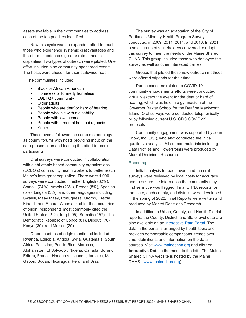assets available in their communities to address each of the top priorities identified.

New this cycle was an expanded effort to reach those who experience systemic disadvantages and therefore experience a greater rate of health disparities. Two types of outreach were piloted. One effort included nine community-sponsored events. The hosts were chosen for their statewide reach.

The communities included:

- Black or African American
- Homeless or formerly homeless
- LGBTQ+ community
- Older adults
- People who are deaf or hard of hearing
- People who live with a disability
- People with low income
- People with a mental health diagnosis
- Youth

These events followed the same methodology as county forums with hosts providing input on the data presentation and leading the effort to recruit participants

Oral surveys were conducted in collaboration with eight ethnic-based community organizations' (ECBO's) community health workers to better reach Maine's immigrant population. There were 1,000 surveys were conducted in either English (32%), Somali, (24%), Arabic (23%), French (8%), Spanish (5%), Lingala (3%), and other languages including Swahili, Maay Maay, Portuguese, Oromo, Eretria, Kirundi, and Amara. When asked for their countries of origin, respondents most commonly cited the United States (212), Iraq (205), Somalia (157), The Democratic Republic of Congo (81), Djibouti (70), Kenya (30), and Mexico (29).

Other countries of origin mentioned included Rwanda, Ethiopia, Angola, Syria, Guatemala, South Africa, Palestine, Puerto Rico, Morocco, Afghanistan, El Salvador, Nigeria, Canada, Burundi, Eritrea, France, Honduras, Uganda, Jamaica, Mali, Gabon, Sudan, Nicaragua, Peru, and Brazil

The survey was an adaptation of the City of Portland's Minority Health Program Survey conducted in 2009, 2011, 2014, and 2018. In 2021, a small group of stakeholders convened to adapt this survey to meet the needs of the Maine Shared CHNA. This group included those who deployed the survey as well as other interested parties.

Groups that piloted these new outreach methods were offered stipends for their time.

Due to concerns related to COVID-19, community engagements efforts were conducted virtually except the event for the deaf or hard of hearing, which was held in a gymnasium at the Governor Baxter School for the Deaf on Mackworth Island. Oral surveys were conducted telephonically or by following current U.S. CDC COVID-19 protocols.

Community engagement was supported by John Snow, Inc. (JSI), who also conducted the initial qualitative analysis. All support materials including Data Profiles and PowerPoints were produced by Market Decisions Research.

#### **Reporting**

Initial analysis for each event and the oral surveys were reviewed by local hosts for accuracy and to ensure the information the community may find sensitive was flagged. Final CHNA reports for the state, each county, and districts were developed in the spring of 2022. Final Reports were written and produced by Market Decisions Research.

In addition to Urban, County, and Health District reports, the County, District, and State level data are also available on an [Interactive Data Portal.](https://www.maine.gov/dhhs/mecdc/phdata/MaineCHNA/maine-interactive-health-data.shtml) The data in the portal is arranged by health topic and provides demographic comparisons, trends over time, definitions, and information on the data sources. Visit [www.mainechna.org](http://www.mainechna.org/) and click on **Interactive Data** in the menu to the left. The Maine Shared CHNA website is hosted by the Maine DHHS. [\(www.mainechna.org\)](http://www.mainechna.org/).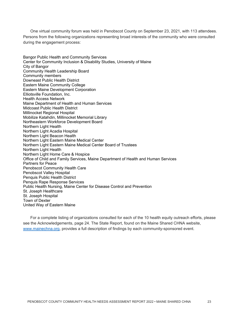One virtual community forum was held in Penobscot County on September 23, 2021, with 113 attendees. Persons from the following organizations representing broad interests of the community who were consulted during the engagement process:

Bangor Public Health and Community Services Center for Community Inclusion & Disability Studies, University of Maine City of Bangor Community Health Leadership Board Community members Downeast Public Health District Eastern Maine Community College Eastern Maine Development Corporation Elliotsville Foundation, Inc. Health Access Network Maine Department of Health and Human Services Midcoast Public Health District Millinocket Regional Hospital Mobilize Katahdin, Millinocket Memorial Library Northeastern Workforce Development Board Northern Light Health Northern Light Acadia Hospital Northern Light Beacon Health Northern Light Eastern Maine Medical Center Northern Light Eastern Maine Medical Center Board of Trustees Northern Light Health Northern Light Home Care & Hospice Office of Child and Family Services, Maine Department of Health and Human Services Partners for Peace Penobscot Community Health Care Penobscot Valley Hospital Penquis Public Health District Penquis Rape Response Services Public Health Nursing, Maine Center for Disease Control and Prevention St. Joseph Healthcare St. Joseph Hospital Town of Dexter United Way of Eastern Maine

For a complete listing of organizations consulted for each of the 10 health equity outreach efforts, please see the Acknowledgements, page 24. The State Report, found on the Maine Shared CHNA website, [www.mainechna.org,](http://www.mainechna.org/) provides a full description of findings by each community-sponsored event.